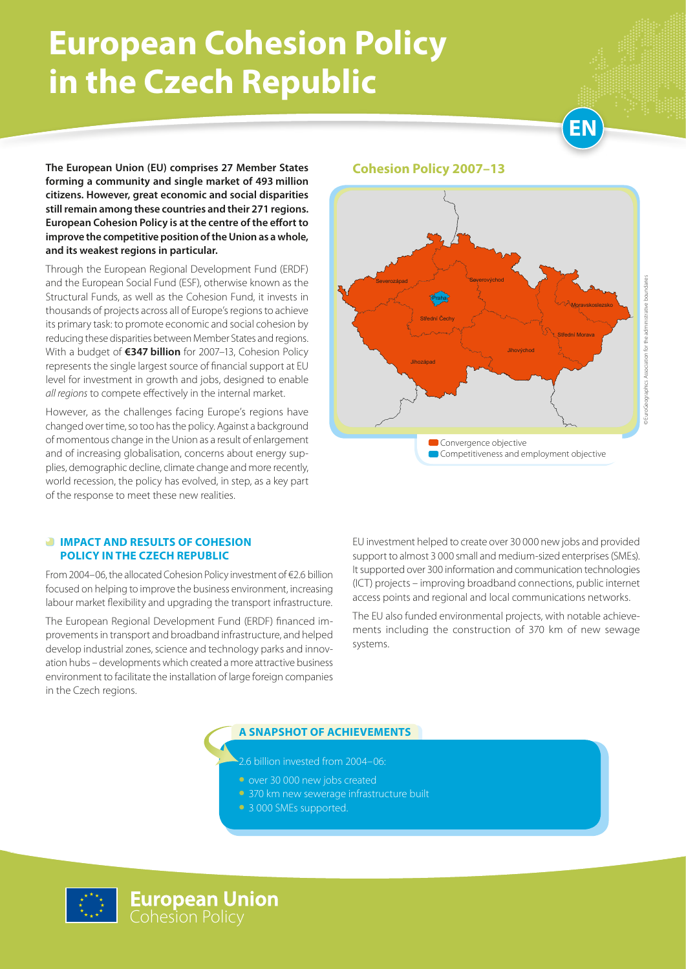# **European Cohesion Policy in the Czech Republic**

**EN**

**The European Union (EU) comprises 27 Member States forming a community and single market of 493 million citizens. However, great economic and social disparities still remain among these countries and their 271 regions. European Cohesion Policy is at the centre of the effort to improve the competitive position of the Union as a whole, and its weakest regions in particular.** 

Through the European Regional Development Fund (ERDF) and the European Social Fund (ESF), otherwise known as the Structural Funds, as well as the Cohesion Fund, it invests in thousands of projects across all of Europe's regions to achieve its primary task: to promote economic and social cohesion by reducing these disparities between Member States and regions. With a budget of **€347 billion** for 2007–13, Cohesion Policy represents the single largest source of financial support at EU level for investment in growth and jobs, designed to enable *all regions* to compete effectively in the internal market.

However, as the challenges facing Europe's regions have changed over time, so too has the policy. Against a background of momentous change in the Union as a result of enlargement and of increasing globalisation, concerns about energy supplies, demographic decline, climate change and more recently, world recession, the policy has evolved, in step, as a key part of the response to meet these new realities.

#### **Cohesion Policy 2007–13**



#### *<b>IMPACT AND RESULTS OF COHESION* **POLICY IN the Czech Republic**

From 2004–06, the allocated Cohesion Policy investment of €2.6 billion focused on helping to improve the business environment, increasing labour market flexibility and upgrading the transport infrastructure.

The European Regional Development Fund (ERDF) financed improvements in transport and broadband infrastructure, and helped develop industrial zones, science and technology parks and innovation hubs – developments which created a more attractive business environment to facilitate the installation of large foreign companies in the Czech regions.

EU investment helped to create over 30 000 new jobs and provided support to almost 3 000 small and medium-sized enterprises (SMEs). It supported over 300 information and communication technologies (ICT) projects – improving broadband connections, public internet access points and regional and local communications networks.

The EU also funded environmental projects, with notable achievements including the construction of 370 km of new sewage systems.

#### **A SNAPSHOT OF ACHIEVEMENTS**

2.6 billion invested from 2004–06:

- over 30 000 new jobs created
- 370 km new sewerage infrastructure built
- 3 000 SMEs supported.

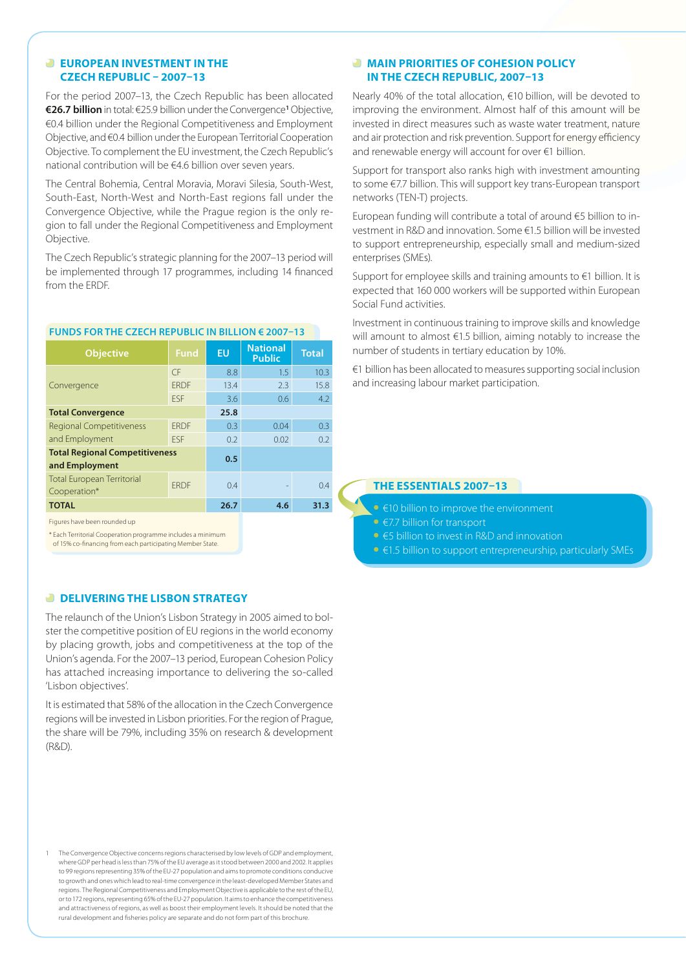#### **EUROPEAN INVESTMENT IN THE CZECH REPUBLIC – 2007–13**

For the period 2007–13, the Czech Republic has been allocated **€26.7 billion** in total: €25.9 billion under the Convergence**<sup>1</sup>** Objective, €0.4 billion under the Regional Competitiveness and Employment Objective, and €0.4 billion under the European Territorial Cooperation Objective. To complement the EU investment, the Czech Republic's national contribution will be €4.6 billion over seven years.

The Central Bohemia, Central Moravia, Moravi Silesia, South-West, South-East, North-West and North-East regions fall under the Convergence Objective, while the Prague region is the only region to fall under the Regional Competitiveness and Employment Objective.

The Czech Republic's strategic planning for the 2007–13 period will be implemented through 17 programmes, including 14 financed from the ERDF.

| <b>Objective</b>                                        | <b>Fund</b> | <b>EU</b> | <b>National</b><br><b>Public</b> | <b>Total</b> |
|---------------------------------------------------------|-------------|-----------|----------------------------------|--------------|
| Convergence                                             | CF          | 8.8       | 1.5                              | 10.3         |
|                                                         | <b>FRDF</b> | 13.4      | 2.3                              | 15.8         |
|                                                         | <b>FSF</b>  | 3.6       | 0.6                              | 4.2          |
| <b>Total Convergence</b>                                |             | 25.8      |                                  |              |
| <b>Regional Competitiveness</b>                         | <b>FRDF</b> | 0.3       | 0.04                             | 0.3          |
| and Employment                                          | <b>FSF</b>  | 0.2       | 0.02                             | 0.2          |
| <b>Total Regional Competitiveness</b><br>and Employment |             | 0.5       |                                  |              |
| <b>Total European Territorial</b><br>Cooperation*       | <b>FRDF</b> | 0.4       |                                  | 0.4          |
| <b>TOTAL</b>                                            |             | 26.7      | 4.6                              | 31.3         |
| Figures have been rounded up                            |             |           |                                  |              |

#### **FUNDS FOR THE CZECH REPUBLIC IN BILLION € 2007–13**

\* Each Territorial Cooperation programme includes a minimum

of 15% co-financing from each participating Member State.

#### **B** DELIVERING THE LISBON STRATEGY

The relaunch of the Union's Lisbon Strategy in 2005 aimed to bolster the competitive position of EU regions in the world economy by placing growth, jobs and competitiveness at the top of the Union's agenda. For the 2007–13 period, European Cohesion Policy has attached increasing importance to delivering the so-called 'Lisbon objectives'.

It is estimated that 58% of the allocation in the Czech Convergence regions will be invested in Lisbon priorities. For the region of Prague, the share will be 79%, including 35% on research & development (R&D).

1 The Convergence Objective concerns regions characterised by low levels of GDP and employment, where GDP per head is less than 75% of the EU average as it stood between 2000 and 2002. It applies to 99 regions representing 35% of the EU-27 population and aims to promote conditions conducive to growth and ones which lead to real-time convergence in the least-developed Member States and regions. The Regional Competitiveness and Employment Objective is applicable to the rest of the EU, or to 172 regions, representing 65% of the EU-27 population. It aims to enhance the competitiveness and attractiveness of regions, as well as boost their employment levels. It should be noted that the rural development and fisheries policy are separate and do not form part of this brochure.

#### **MAIN PRIORITIES OF COHESION POLICY IN THE CZECH REPUBLIC, 2007–13**

Nearly 40% of the total allocation, €10 billion, will be devoted to improving the environment. Almost half of this amount will be invested in direct measures such as waste water treatment, nature and air protection and risk prevention. Support for energy efficiency and renewable energy will account for over €1 billion.

Support for transport also ranks high with investment amounting to some €7.7 billion. This will support key trans-European transport networks (TEN-T) projects.

European funding will contribute a total of around €5 billion to investment in R&D and innovation. Some €1.5 billion will be invested to support entrepreneurship, especially small and medium-sized enterprises (SMEs).

Support for employee skills and training amounts to €1 billion. It is expected that 160 000 workers will be supported within European Social Fund activities.

Investment in continuous training to improve skills and knowledge will amount to almost €1.5 billion, aiming notably to increase the number of students in tertiary education by 10%.

€1 billion has been allocated to measures supporting social inclusion and increasing labour market participation.

#### **The essentials 2007–13**

- • €10 billion to improve the environment
- • €7.7 billion for transport
- • €5 billion to invest in R&D and innovation
- €1.5 billion to support entrepreneurship, particularly SMEs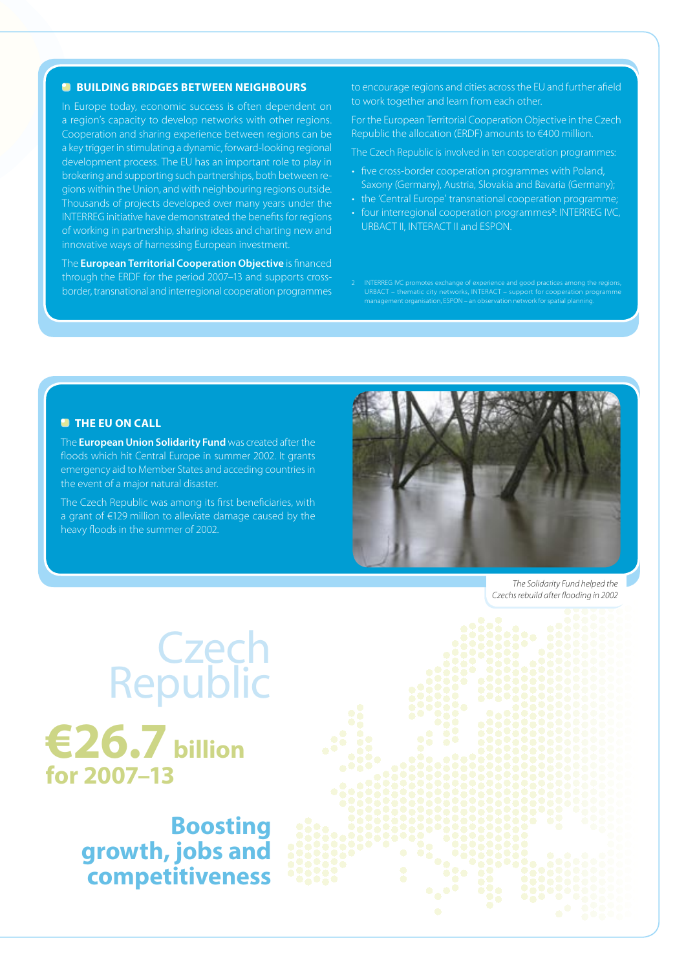#### **<sup>B</sup>** BUILDING BRIDGES BETWEEN NEIGHBOURS

In Europe today, economic success is often dependent on a region's capacity to develop networks with other regions. Cooperation and sharing experience between regions can be a key trigger in stimulating a dynamic, forward-looking regional development process. The EU has an important role to play in brokering and supporting such partnerships, both between regions within the Union, and with neighbouring regions outside. Thousands of projects developed over many years under the INTERREG initiative have demonstrated the benefits for regions of working in partnership, sharing ideas and charting new and innovative ways of harnessing European investment.

The **European Territorial Cooperation Objective** is financed through the ERDF for the period 2007–13 and supports crossborder, transnational and interregional cooperation programmes

to encourage regions and cities across the EU and further afield to work together and learn from each other.

For the European Territorial Cooperation Objective in the Czech Republic the allocation (ERDF) amounts to €400 million.

The Czech Republic is involved in ten cooperation programmes:

- five cross-border cooperation programmes with Poland, Saxony (Germany), Austria, Slovakia and Bavaria (Germany);
- the 'Central Europe' transnational cooperation programme;
- four interregional cooperation programmes<sup>2</sup>: INTERREG IVC, URBACT II, INTERACT II and ESPON.
- $\overline{C}$  INTERREG IVC promotes and  $\overline{C}$ URBACT – thematic city networks, INTERACT – support for cooperation programme management organisation, ESPON – an observation network for spatial planning.

#### **THE EU ON CALL**

The **European Union Solidarity Fund** was created after the floods which hit Central Europe in summer 2002. It grants emergency aid to Member States and acceding countries in the event of a major natural disaster.

The Czech Republic was among its first beneficiaries, with a grant of €129 million to alleviate damage caused by the heavy floods in the summer of 2002.



*The Solidarity Fund helped the Czechs rebuild after flooding in 2002*